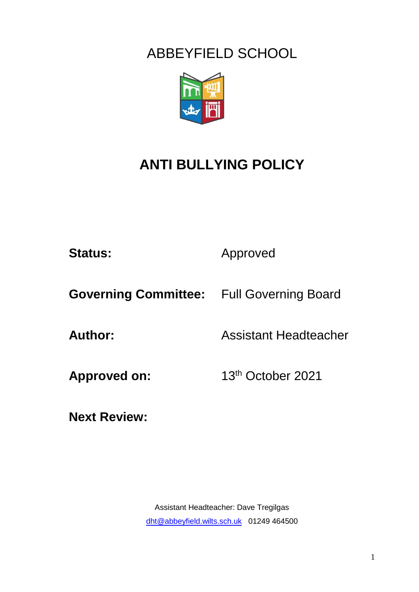## ABBEYFIELD SCHOOL



# **ANTI BULLYING POLICY**

Status: **Approved** 

**Governing Committee:** Full Governing Board

**Author:** Assistant Headteacher

Approved on: 13<sup>th</sup> October 2021

**Next Review:**

Assistant Headteacher: Dave Tregilgas [dht@abbeyfield.wilts.sch.uk](mailto:dht@abbeyfield.wilts.sch.uk) 01249 464500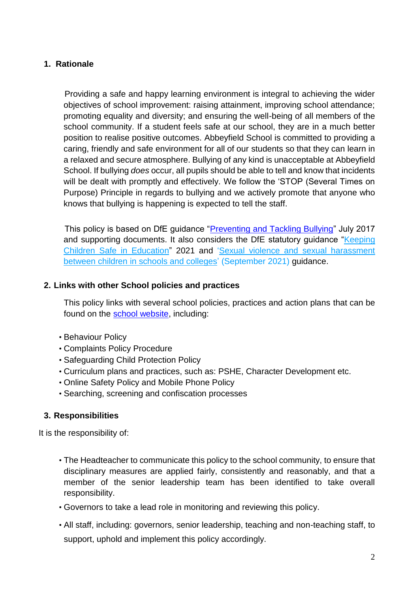### **1. Rationale**

 Providing a safe and happy learning environment is integral to achieving the wider objectives of school improvement: raising attainment, improving school attendance; promoting equality and diversity; and ensuring the well-being of all members of the school community. If a student feels safe at our school, they are in a much better position to realise positive outcomes. Abbeyfield School is committed to providing a caring, friendly and safe environment for all of our students so that they can learn in a relaxed and secure atmosphere. Bullying of any kind is unacceptable at Abbeyfield School. If bullying *does* occur, all pupils should be able to tell and know that incidents will be dealt with promptly and effectively. We follow the 'STOP (Several Times on Purpose) Principle in regards to bullying and we actively promote that anyone who knows that bullying is happening is expected to tell the staff.

This policy is based on DfE guidance ["Preventing and Tackling Bullying"](https://assets.publishing.service.gov.uk/government/uploads/system/uploads/attachment_data/file/623895/Preventing_and_tackling_bullying_advice.pdf) July 2017 and supporting documents. It also considers the DfE statutory guidance "Keeping [Children](https://www.gov.uk/government/publications/keeping-children-safe-in-education--2) Safe in Educati[on"](https://www.gov.uk/government/publications/keeping-children-safe-in-education--2) 2021 and ['Sexual violence and](https://www.gov.uk/government/publications/sexual-violence-and-sexual-harassment-between-children-in-schools-and-colleges) sexual harassment [between children in schools and colleges' \(](https://www.gov.uk/government/publications/sexual-violence-and-sexual-harassment-between-children-in-schools-and-colleges)September 2021) guidance.

#### **2. Links with other School policies and practices**

This policy links with several school policies, practices and action plans that can be found on the [school website,](https://abbeyfield.wilts.sch.uk/about-us/school-policies/) including:

- Behaviour Policy
- Complaints Policy Procedure
- Safeguarding Child Protection Policy
- Curriculum plans and practices, such as: PSHE, Character Development etc.
- Online Safety Policy and Mobile Phone Policy
- Searching, screening and confiscation processes

#### **3. Responsibilities**

It is the responsibility of:

- The Headteacher to communicate this policy to the school community, to ensure that disciplinary measures are applied fairly, consistently and reasonably, and that a member of the senior leadership team has been identified to take overall responsibility.
- Governors to take a lead role in monitoring and reviewing this policy.
- All staff, including: governors, senior leadership, teaching and non-teaching staff, to support, uphold and implement this policy accordingly.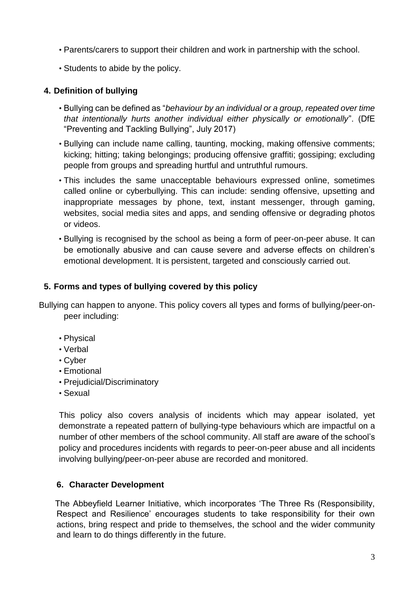- Parents/carers to support their children and work in partnership with the school.
- Students to abide by the policy.

## **4. Definition of bullying**

- Bullying can be defined as "*behaviour by an individual or a group, repeated over time that intentionally hurts another individual either physically or emotionally*". (DfE "Preventing and Tackling Bullying", July 2017)
- Bullying can include name calling, taunting, mocking, making offensive comments; kicking; hitting; taking belongings; producing offensive graffiti; gossiping; excluding people from groups and spreading hurtful and untruthful rumours.
- This includes the same unacceptable behaviours expressed online, sometimes called online or cyberbullying. This can include: sending offensive, upsetting and inappropriate messages by phone, text, instant messenger, through gaming, websites, social media sites and apps, and sending offensive or degrading photos or videos.
- Bullying is recognised by the school as being a form of peer-on-peer abuse. It can be emotionally abusive and can cause severe and adverse effects on children's emotional development. It is persistent, targeted and consciously carried out.

### **5. Forms and types of bullying covered by this policy**

Bullying can happen to anyone. This policy covers all types and forms of bullying/peer-onpeer including:

- Physical
- Verbal
- Cyber
- Emotional
- Prejudicial/Discriminatory
- Sexual

This policy also covers analysis of incidents which may appear isolated, yet demonstrate a repeated pattern of bullying-type behaviours which are impactful on a number of other members of the school community. All staff are aware of the school's policy and procedures incidents with regards to peer-on-peer abuse and all incidents involving bullying/peer-on-peer abuse are recorded and monitored.

#### **6. Character Development**

 The Abbeyfield Learner Initiative, which incorporates 'The Three Rs (Responsibility, Respect and Resilience' encourages students to take responsibility for their own actions, bring respect and pride to themselves, the school and the wider community and learn to do things differently in the future.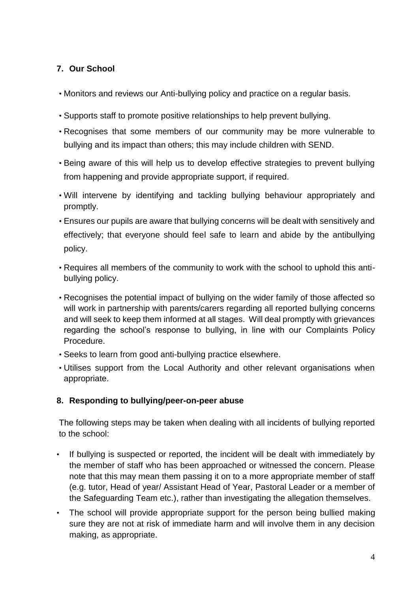## **7. Our School**

- Monitors and reviews our Anti-bullying policy and practice on a regular basis.
- Supports staff to promote positive relationships to help prevent bullying.
- Recognises that some members of our community may be more vulnerable to bullying and its impact than others; this may include children with SEND.
- Being aware of this will help us to develop effective strategies to prevent bullying from happening and provide appropriate support, if required.
- Will intervene by identifying and tackling bullying behaviour appropriately and promptly.
- Ensures our pupils are aware that bullying concerns will be dealt with sensitively and effectively; that everyone should feel safe to learn and abide by the antibullying policy.
- Requires all members of the community to work with the school to uphold this antibullying policy.
- Recognises the potential impact of bullying on the wider family of those affected so will work in partnership with parents/carers regarding all reported bullying concerns and will seek to keep them informed at all stages. Will deal promptly with grievances regarding the school's response to bullying, in line with our Complaints Policy Procedur[e.](https://www.lawnmanor.org/wp-content/uploads/2019/01/RWBAT-Complaints-FINAL.pdf)
- Seeks to learn from good anti-bullying practice elsewhere.
- Utilises support from the Local Authority and other relevant organisations when appropriate.

## **8. Responding to bullying/peer-on-peer abuse**

The following steps may be taken when dealing with all incidents of bullying reported to the school:

- If bullying is suspected or reported, the incident will be dealt with immediately by the member of staff who has been approached or witnessed the concern. Please note that this may mean them passing it on to a more appropriate member of staff (e.g. tutor, Head of year/ Assistant Head of Year, Pastoral Leader or a member of the Safeguarding Team etc.), rather than investigating the allegation themselves.
- The school will provide appropriate support for the person being bullied making sure they are not at risk of immediate harm and will involve them in any decision making, as appropriate.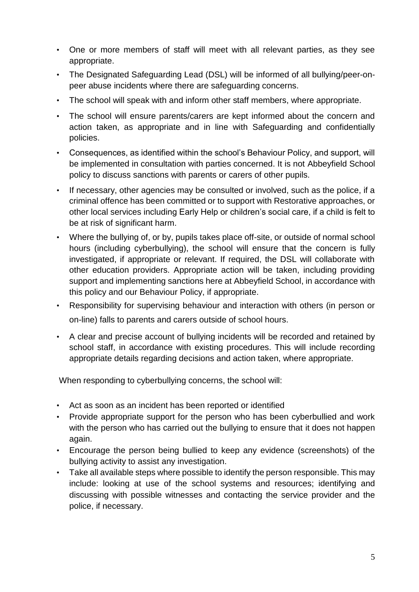- One or more members of staff will meet with all relevant parties, as they see appropriate.
- The Designated Safeguarding Lead (DSL) will be informed of all bullying/peer-onpeer abuse incidents where there are safeguarding concerns.
- The school will speak with and inform other staff members, where appropriate.
- The school will ensure parents/carers are kept informed about the concern and action taken, as appropriate and in line with Safeguarding and confidentially policies.
- Consequences, as identified within the school's Behaviour Policy, and support, will be implemented in consultation with parties concerned. It is not Abbeyfield School policy to discuss sanctions with parents or carers of other pupils.
- If necessary, other agencies may be consulted or involved, such as the police, if a criminal offence has been committed or to support with Restorative approaches, or other local services including Early Help or children's social care, if a child is felt to be at risk of significant harm.
- Where the bullying of, or by, pupils takes place off-site, or outside of normal school hours (including cyberbullying), the school will ensure that the concern is fully investigated, if appropriate or relevant. If required, the DSL will collaborate with other education providers. Appropriate action will be taken, including providing support and implementing sanctions here at Abbeyfield School, in accordance with this policy and our Behaviour Policy, if appropriate.
- Responsibility for supervising behaviour and interaction with others (in person or on-line) falls to parents and carers outside of school hours.
- A clear and precise account of bullying incidents will be recorded and retained by school staff, in accordance with existing procedures. This will include recording appropriate details regarding decisions and action taken, where appropriate.

When responding to cyberbullying concerns, the school will:

- Act as soon as an incident has been reported or identified
- Provide appropriate support for the person who has been cyberbullied and work with the person who has carried out the bullying to ensure that it does not happen again.
- Encourage the person being bullied to keep any evidence (screenshots) of the bullying activity to assist any investigation.
- Take all available steps where possible to identify the person responsible. This may include: looking at use of the school systems and resources; identifying and discussing with possible witnesses and contacting the service provider and the police, if necessary.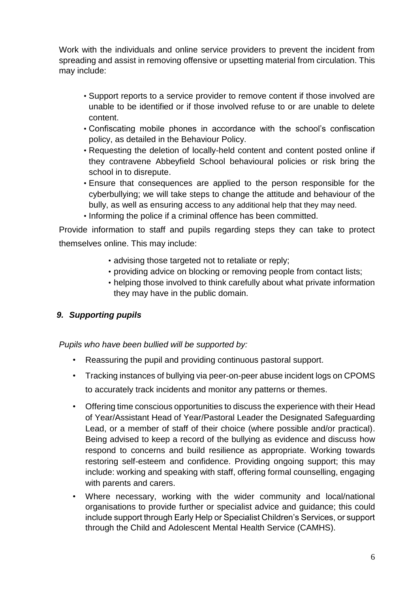Work with the individuals and online service providers to prevent the incident from spreading and assist in removing offensive or upsetting material from circulation. This may include:

- Support reports to a service provider to remove content if those involved are unable to be identified or if those involved refuse to or are unable to delete content.
- Confiscating mobile phones in accordance with the school's confiscation policy, as detailed in the Behaviour Policy.
- Requesting the deletion of locally-held content and content posted online if they contravene Abbeyfield School behavioural policies or risk bring the school in to disrepute.
- Ensure that consequences are applied to the person responsible for the cyberbullying; we will take steps to change the attitude and behaviour of the bully, as well as ensuring access to any additional help that they may need.
- Informing the police if a criminal offence has been committed.

Provide information to staff and pupils regarding steps they can take to protect themselves online. This may include:

- advising those targeted not to retaliate or reply;
- providing advice on blocking or removing people from contact lists;
- helping those involved to think carefully about what private information they may have in the public domain.

## *9. Supporting pupils*

*Pupils who have been bullied will be supported by:* 

- Reassuring the pupil and providing continuous pastoral support.
- Tracking instances of bullying via peer-on-peer abuse incident logs on CPOMS to accurately track incidents and monitor any patterns or themes.
- Offering time conscious opportunities to discuss the experience with their Head of Year/Assistant Head of Year/Pastoral Leader the Designated Safeguarding Lead, or a member of staff of their choice (where possible and/or practical). Being advised to keep a record of the bullying as evidence and discuss how respond to concerns and build resilience as appropriate. Working towards restoring self-esteem and confidence. Providing ongoing support; this may include: working and speaking with staff, offering formal counselling, engaging with parents and carers.
- Where necessary, working with the wider community and local/national organisations to provide further or specialist advice and guidance; this could include support through Early Help or Specialist Children's Services, or support through the Child and Adolescent Mental Health Service (CAMHS).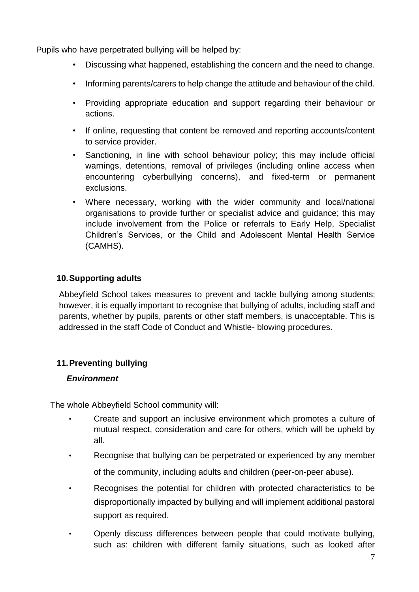Pupils who have perpetrated bullying will be helped by:

- Discussing what happened, establishing the concern and the need to change.
- Informing parents/carers to help change the attitude and behaviour of the child.
- Providing appropriate education and support regarding their behaviour or actions.
- If online, requesting that content be removed and reporting accounts/content to service provider.
- Sanctioning, in line with school behaviour policy; this may include official warnings, detentions, removal of privileges (including online access when encountering cyberbullying concerns), and fixed-term or permanent exclusions.
- Where necessary, working with the wider community and local/national organisations to provide further or specialist advice and guidance; this may include involvement from the Police or referrals to Early Help, Specialist Children's Services, or the Child and Adolescent Mental Health Service (CAMHS).

### **10.Supporting adults**

Abbeyfield School takes measures to prevent and tackle bullying among students; however, it is equally important to recognise that bullying of adults, including staff and parents, whether by pupils, parents or other staff members, is unacceptable. This is addressed in the staff Code of Conduct and Whistle- blowing procedures.

#### **11.Preventing bullying**

#### *Environment*

The whole Abbeyfield School community will:

- Create and support an inclusive environment which promotes a culture of mutual respect, consideration and care for others, which will be upheld by all.
- Recognise that bullying can be perpetrated or experienced by any member of the community, including adults and children (peer-on-peer abuse).
- Recognises the potential for children with protected characteristics to be disproportionally impacted by bullying and will implement additional pastoral support as required.
- Openly discuss differences between people that could motivate bullying, such as: children with different family situations, such as looked after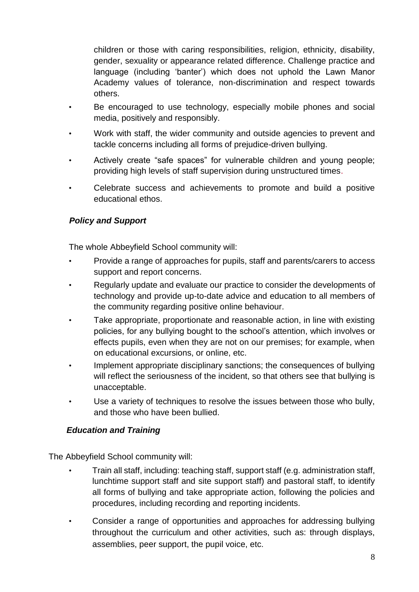children or those with caring responsibilities, religion, ethnicity, disability, gender, sexuality or appearance related difference. Challenge practice and language (including 'banter') which does not uphold the Lawn Manor Academy values of tolerance, non-discrimination and respect towards others.

- Be encouraged to use technology, especially mobile phones and social media, positively and responsibly.
- Work with staff, the wider community and outside agencies to prevent and tackle concerns including all forms of prejudice-driven bullying.
- Actively create "safe spaces" for vulnerable children and young people; providing high levels of staff supervision during unstructured times.
- Celebrate success and achievements to promote and build a positive educational ethos.

## *Policy and Support*

The whole Abbeyfield School community will:

- Provide a range of approaches for pupils, staff and parents/carers to access support and report concerns.
- Regularly update and evaluate our practice to consider the developments of technology and provide up-to-date advice and education to all members of the community regarding positive online behaviour.
- Take appropriate, proportionate and reasonable action, in line with existing policies, for any bullying bought to the school's attention, which involves or effects pupils, even when they are not on our premises; for example, when on educational excursions, or online, etc.
- Implement appropriate disciplinary sanctions; the consequences of bullying will reflect the seriousness of the incident, so that others see that bullying is unacceptable.
- Use a variety of techniques to resolve the issues between those who bully, and those who have been bullied.

## *Education and Training*

The Abbeyfield School community will:

- Train all staff, including: teaching staff, support staff (e.g. administration staff, lunchtime support staff and site support staff) and pastoral staff, to identify all forms of bullying and take appropriate action, following the policies and procedures, including recording and reporting incidents.
- Consider a range of opportunities and approaches for addressing bullying throughout the curriculum and other activities, such as: through displays, assemblies, peer support, the pupil voice, etc.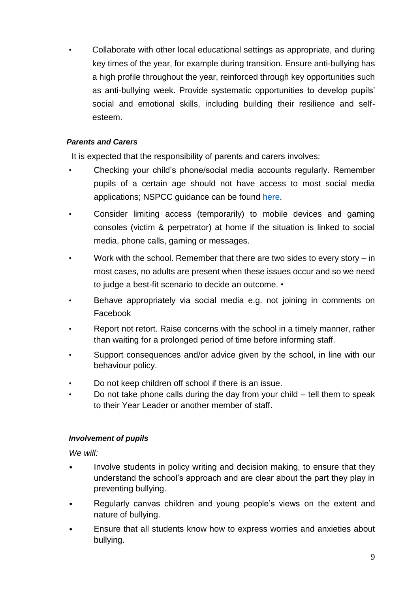• Collaborate with other local educational settings as appropriate, and during key times of the year, for example during transition. Ensure anti-bullying has a high profile throughout the year, reinforced through key opportunities such as anti-bullying week. Provide systematic opportunities to develop pupils' social and emotional skills, including building their resilience and selfesteem.

#### *Parents and Carers*

It is expected that the responsibility of parents and carers involves:

- Checking your child's phone/social media accounts regularly. Remember pupils of a certain age should not have access to most social media applications; NSPCC guidance can be fou[nd](https://www.net-aware.org.uk/networks/?order=title) [here.](https://www.net-aware.org.uk/networks/?order=title)
- Consider limiting access (temporarily) to mobile devices and gaming consoles (victim & perpetrator) at home if the situation is linked to social media, phone calls, gaming or messages.
- Work with the school. Remember that there are two sides to every story in most cases, no adults are present when these issues occur and so we need to judge a best-fit scenario to decide an outcome. •
- Behave appropriately via social media e.g. not joining in comments on Facebook
- Report not retort. Raise concerns with the school in a timely manner, rather than waiting for a prolonged period of time before informing staff.
- Support consequences and/or advice given by the school, in line with our behaviour policy.
- Do not keep children off school if there is an issue.
- Do not take phone calls during the day from your child tell them to speak to their Year Leader or another member of staff.

#### *Involvement of pupils*

*We will:* 

- Involve students in policy writing and decision making, to ensure that they understand the school's approach and are clear about the part they play in preventing bullying.
- Regularly canvas children and young people's views on the extent and nature of bullying.
- Ensure that all students know how to express worries and anxieties about bullying.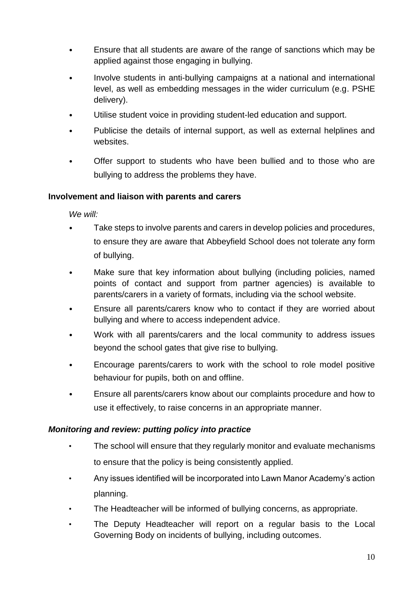- Ensure that all students are aware of the range of sanctions which may be applied against those engaging in bullying.
- Involve students in anti-bullying campaigns at a national and international level, as well as embedding messages in the wider curriculum (e.g. PSHE delivery).
- Utilise student voice in providing student-led education and support.
- Publicise the details of internal support, as well as external helplines and websites.
- Offer support to students who have been bullied and to those who are bullying to address the problems they have.

#### **Involvement and liaison with parents and carers**

*We will:* 

- Take steps to involve parents and carers in develop policies and procedures, to ensure they are aware that Abbeyfield School does not tolerate any form of bullying.
- Make sure that key information about bullying (including policies, named points of contact and support from partner agencies) is available to parents/carers in a variety of formats, including via the school website.
- Ensure all parents/carers know who to contact if they are worried about bullying and where to access independent advice.
- Work with all parents/carers and the local community to address issues beyond the school gates that give rise to bullying.
- Encourage parents/carers to work with the school to role model positive behaviour for pupils, both on and offline.
- Ensure all parents/carers know about our complaints procedure and how to use it effectively, to raise concerns in an appropriate manner.

#### *Monitoring and review: putting policy into practice*

- The school will ensure that they regularly monitor and evaluate mechanisms to ensure that the policy is being consistently applied.
- Any issues identified will be incorporated into Lawn Manor Academy's action planning.
- The Headteacher will be informed of bullying concerns, as appropriate.
- The Deputy Headteacher will report on a regular basis to the Local Governing Body on incidents of bullying, including outcomes.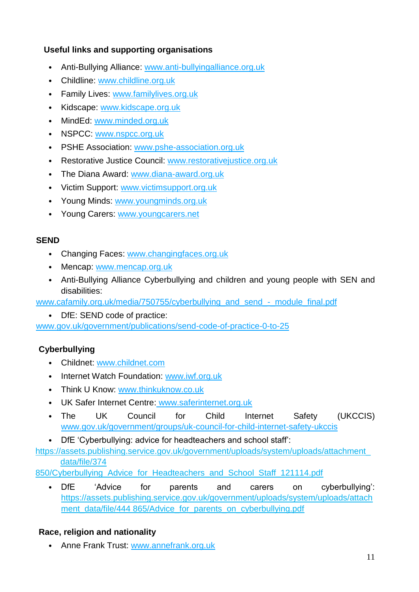## **Useful links and supporting organisations**

- Anti-Bullying Allianc[e: www.anti-bullyingalliance.org.uk](http://www.anti-bullyingalliance.org.uk/)
- Childlin[e: www.childline.org.uk](http://www.childline.org.uk/)
- Family Live[s: www.familylives.org.uk](http://www.familylives.org.uk/)
- Kidscap[e: www.kidscape.org.uk](http://www.kidscape.org.uk/)
- MindE[d: www.minded.org.uk](http://www.minded.org.uk/)
- NSPC[C: www.nspcc.org.uk](http://www.nspcc.org.uk/)
- PSHE Associatio[n: www.pshe-association.org.uk](http://www.pshe-association.org.uk/)
- Restorative Justice Counci[l: www.restorativejustice.org.uk](http://www.restorativejustice.org.uk/)
- The Diana Awar[d: www.diana-award.org.uk](http://www.diana-award.org.uk/)
- Victim Suppor[t: www.victimsupport.org.uk](http://www.victimsupport.org.uk/)
- Young Mind[s: www.youngminds.org.uk](http://www.youngminds.org.uk/)
- Young Carer[s: www.youngcarers.net](http://www.youngcarers.net/)

## **SEND**

- Changing Face[s: www.changingfaces.org.uk](http://www.changingfaces.org.uk/)
- Menca[p: www.mencap.org.uk](http://www.mencap.org.uk/)
- Anti-Bullying Alliance Cyberbullying and children and young people with SEN and disabilities:

[www.cafamily.org.uk/media/750755/cyberbullying\\_and\\_send\\_-\\_module\\_final.pdf](http://www.cafamily.org.uk/media/750755/cyberbullying_and_send_-_module_final.pdf)

DfE: SEND code of practice:

[www.gov.uk/government/publications/send-code-of-practice-0-to-25](https://www.gov.uk/government/publications/send-code-of-practice-0-to-25)

## **Cyberbullying**

- Childne[t: www.childnet.com](http://www.childnet.com/)
- Internet Watch Foundatio[n: www.iwf.org.uk](http://www.iwf.org.uk/)
- Think U Kno[w: www.thinkuknow.co.uk](http://www.thinkuknow.co.uk/)
- UK Safer Internet Centr[e:](http://www.saferinternet.org.uk/) [www.saferinternet.org.uk](http://www.saferinternet.org.uk/)
- The UK Council for Child Internet Safety (UKCCIS) [www.gov.uk/government/groups/uk-council-for-child-internet-safety-ukccis](http://www.gov.uk/government/groups/uk-council-for-child-internet-safety-ukccis)
- DfE 'Cyberbullying: advice for headteachers and school staff':

[https://assets.publishing.service.gov.uk/government/uploads/system/uploads/attachment\\_](https://assets.publishing.service.gov.uk/government/uploads/system/uploads/attachment_data/file/374850/Cyberbullying_Advice_for_Headteachers_and_School_Staff_121114.pdf) [data/file/374](https://assets.publishing.service.gov.uk/government/uploads/system/uploads/attachment_data/file/374850/Cyberbullying_Advice_for_Headteachers_and_School_Staff_121114.pdf) 

[850/Cyberbullying\\_Advice\\_for\\_Headteachers\\_and\\_School\\_Staff\\_121114.pdf](https://assets.publishing.service.gov.uk/government/uploads/system/uploads/attachment_data/file/374850/Cyberbullying_Advice_for_Headteachers_and_School_Staff_121114.pdf)

DfE 'Advice for parents and carers on cyberbullying': [https://assets.publishing.service.gov.uk/government/uploads/system/uploads/attach](https://assets.publishing.service.gov.uk/government/uploads/system/uploads/attachment_data/file/444865/Advice_for_parents_on_cyberbullying.pdf) [ment\\_data/file/444 865/Advice\\_for\\_parents\\_on\\_cyberbullying.pdf](https://assets.publishing.service.gov.uk/government/uploads/system/uploads/attachment_data/file/444865/Advice_for_parents_on_cyberbullying.pdf)

## **Race, religion and nationality**

• Anne Frank Trus[t: www.annefrank.org.uk](http://www.annefrank.org.uk/)